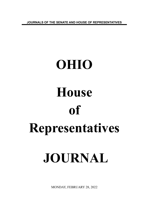**JOURNALS OF THE SENATE AND HOUSE OF REPRESENTATIVES**

# **OHIO House of Representatives JOURNAL**

MONDAY, FEBRUARY 28, 2022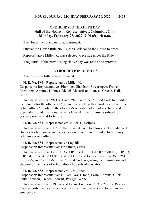# ONE HUNDRED THIRTIETH DAY Hall of the House of Representatives, Columbus, Ohio **Monday, February 28, 2022, 9:00 o'clock a.m.**

The House met pursuant to adjournment.

Pursuant to House Rule No. 23, the Clerk called the House to order.

Representative Miller, K. was selected to preside under the Rule.

The journal of the previous legislative day was read and approved.

#### **INTRODUCTION OF BILLS**

The following bills were introduced:

**H. B. No. 580 -** Representative Miller, K. Cosponsors: Representatives Plummer, Ghanbari, Swearingen, Fraizer, Carruthers, Abrams, Holmes, Riedel, Richardson, Lanese, Creech, Hall, LaRe.

To amend sections 2921.331 and 2929.14 of the Revised Code to modify the penalty for the offense of "failure to comply with an order or signal of a police officer" involving the offender's operation of a motor vehicle and expressly provide that a motor vehicle used in the offense is subject to possible seizure and forfeiture.

**H. B. No. 581 -** Representatives Miller, J., Holmes.

To amend section 301.27 of the Revised Code to allow county credit card charges for temporary and necessary assistance care provided by a county veterans service office.

**H. B. No. 582 -** Representative Loychik.

Cosponsors: Representatives Brinkman, Cross.

To amend sections 3302.11, 3311.053, 3311.73, 3313.09, 3501.01, 3505.03, 3505.04, 3513.04, 3513.052, and 3513.261 and to repeal sections 3513.254, 3513.255, and 3513.256 of the Revised Code regarding the nomination and election of members of school district boards of education.

**H. B. No. 583 -** Representatives Bird, Jones.

Cosponsors: Representatives Hillyer, Davis, John, LaRe, Abrams, Click, Seitz, Johnson, Creech, Stewart, Pavliga, White.

To amend section 3319.226 and to enact section 3319.362 of the Revised Code regarding educator licenses for substitute teachers and to declare an emergency.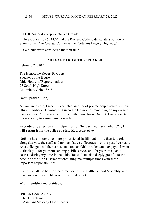**H. B. No. 584 -** Representative Grendell.

To enact section 5534.641 of the Revised Code to designate a portion of State Route 44 in Geauga County as the "Veterans Legacy Highway."

Said bills were considered the first time.

## **MESSAGE FROM THE SPEAKER**

February 24, 2022

The Honorable Robert R. Cupp Speaker of the House Ohio House of Representatives 77 South High Street Columbus, Ohio 43215

Dear Speaker Cupp,

As you are aware, I recently accepted an offer of private employment with the Ohio Chamber of Commerce. Given the ten months remaining on my current term as State Representative for the 68th Ohio House District, I must vacate my seat early to assume my new role.

Accordingly, effective at 11:59pm EST on Sunday, February 27th, 2022, **I will resign from the office of State Representative.** 

Nothing has brought me more professional fulfillment in life than to work alongside you, the staff, and my legislative colleagues over the past five years. As a colleague, a father, a husband, and an Ohio resident and taxpayer, I want to thank you for your outstanding public service and for your invaluable counsel during my time in the Ohio House. I am also deeply grateful to the people of the 68th District for entrusting me multiple times with these important responsibilities.

I wish you all the best for the remainder of the 134th General Assembly, and may God continue to bless our great State of Ohio.

With friendship and gratitude,

/s/RICK CARFAGNA Rick Carfagna Assistant Majority Floor Leader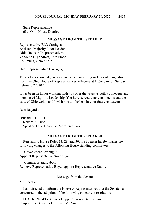State Representative 68th Ohio House District

### **MESSAGE FROM THE SPEAKER**

Representative Rick Carfagna Assistant Majority Floor Leader Ohio House of Representatives 77 South High Street, 14th Floor Columbus, Ohio 43215

Dear Representative Carfagna,

This is to acknowledge receipt and acceptance of your letter of resignation from the Ohio House of Representatives, effective at 11:59 p.m. on Sunday, February 27, 2022.

It has been an honor working with you over the years as both a colleague and member of Majority Leadership. You have served your constituents and the state of Ohio well – and I wish you all the best in your future endeavors.

Best Regards,

/s/ROBERT R. CUPP Robert R. Cupp Speaker, Ohio House of Representatives

### **MESSAGE FROM THE SPEAKER**

Pursuant to House Rules 13, 28, and 30, the Speaker hereby makes the following changes to the following House standing committees:

 Government Oversight: Appoint Representative Swearingen.

 Commerce and Labor: Remove Representative Boyd; appoint Representative Davis.

Message from the Senate

Mr. Speaker:

I am directed to inform the House of Representatives that the Senate has concurred in the adoption of the following concurrent resolution:

**H. C. R. No. 43** - Speaker Cupp, Representative Russo Cosponsors: Senators Huffman, M., Yuko